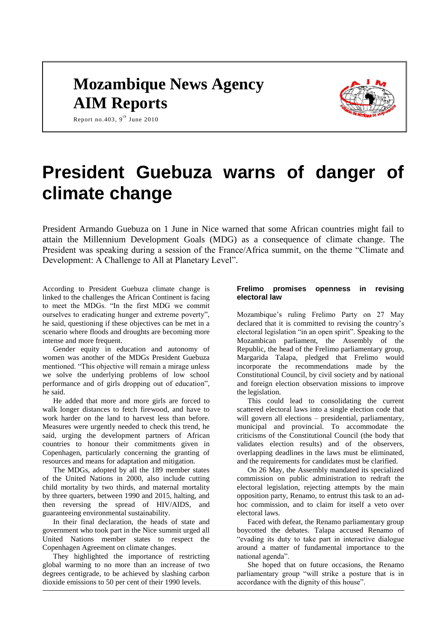# **Mozambique News Agency AIM Reports**



Report no. 403,  $9^{\text{th}}$  June 2010

# **President Guebuza warns of danger of climate change**

President Armando Guebuza on 1 June in Nice warned that some African countries might fail to attain the Millennium Development Goals (MDG) as a consequence of climate change. The President was speaking during a session of the France/Africa summit, on the theme "Climate and Development: A Challenge to All at Planetary Level".

According to President Guebuza climate change is linked to the challenges the African Continent is facing to meet the MDGs. "In the first MDG we commit ourselves to eradicating hunger and extreme poverty", he said, questioning if these objectives can be met in a scenario where floods and droughts are becoming more intense and more frequent.

Gender equity in education and autonomy of women was another of the MDGs President Guebuza mentioned. "This objective will remain a mirage unless we solve the underlying problems of low school performance and of girls dropping out of education", he said.

He added that more and more girls are forced to walk longer distances to fetch firewood, and have to work harder on the land to harvest less than before. Measures were urgently needed to check this trend, he said, urging the development partners of African countries to honour their commitments given in Copenhagen, particularly concerning the granting of resources and means for adaptation and mitigation.

The MDGs, adopted by all the 189 member states of the United Nations in 2000, also include cutting child mortality by two thirds, and maternal mortality by three quarters, between 1990 and 2015, halting, and then reversing the spread of HIV/AIDS, and guaranteeing environmental sustainability.

In their final declaration, the heads of state and government who took part in the Nice summit urged all United Nations member states to respect the Copenhagen Agreement on climate changes.

They highlighted the importance of restricting global warming to no more than an increase of two degrees centigrade, to be achieved by slashing carbon dioxide emissions to 50 per cent of their 1990 levels.

#### **Frelimo promises openness in revising electoral law**

Mozambique"s ruling Frelimo Party on 27 May declared that it is committed to revising the country"s electoral legislation "in an open spirit". Speaking to the Mozambican parliament, the Assembly of the Republic, the head of the Frelimo parliamentary group, Margarida Talapa, pledged that Frelimo would incorporate the recommendations made by the Constitutional Council, by civil society and by national and foreign election observation missions to improve the legislation.

This could lead to consolidating the current scattered electoral laws into a single election code that will govern all elections – presidential, parliamentary, municipal and provincial. To accommodate the criticisms of the Constitutional Council (the body that validates election results) and of the observers, overlapping deadlines in the laws must be eliminated, and the requirements for candidates must be clarified.

On 26 May, the Assembly mandated its specialized commission on public administration to redraft the electoral legislation, rejecting attempts by the main opposition party, Renamo, to entrust this task to an adhoc commission, and to claim for itself a veto over electoral laws.

Faced with defeat, the Renamo parliamentary group boycotted the debates. Talapa accused Renamo of "evading its duty to take part in interactive dialogue around a matter of fundamental importance to the national agenda".

She hoped that on future occasions, the Renamo parliamentary group "will strike a posture that is in accordance with the dignity of this house".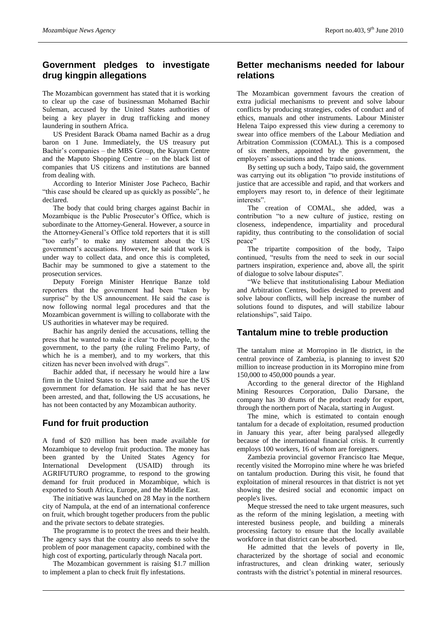# **Government pledges to investigate drug kingpin allegations**

The Mozambican government has stated that it is working to clear up the case of businessman Mohamed Bachir Suleman, accused by the United States authorities of being a key player in drug trafficking and money laundering in southern Africa.

US President Barack Obama named Bachir as a drug baron on 1 June. Immediately, the US treasury put Bachir"s companies – the MBS Group, the Kayum Centre and the Maputo Shopping Centre – on the black list of companies that US citizens and institutions are banned from dealing with.

According to Interior Minister Jose Pacheco, Bachir "this case should be cleared up as quickly as possible", he declared.

The body that could bring charges against Bachir in Mozambique is the Public Prosecutor's Office, which is subordinate to the Attorney-General. However, a source in the Attorney-General"s Office told reporters that it is still "too early" to make any statement about the US government"s accusations. However, he said that work is under way to collect data, and once this is completed, Bachir may be summoned to give a statement to the prosecution services.

Deputy Foreign Minister Henrique Banze told reporters that the government had been "taken by surprise" by the US announcement. He said the case is now following normal legal procedures and that the Mozambican government is willing to collaborate with the US authorities in whatever may be required.

Bachir has angrily denied the accusations, telling the press that he wanted to make it clear "to the people, to the government, to the party (the ruling Frelimo Party, of which he is a member), and to my workers, that this citizen has never been involved with drugs".

Bachir added that, if necessary he would hire a law firm in the United States to clear his name and sue the US government for defamation. He said that he has never been arrested, and that, following the US accusations, he has not been contacted by any Mozambican authority.

## **Fund for fruit production**

A fund of \$20 million has been made available for Mozambique to develop fruit production. The money has been granted by the United States Agency for International Development (USAID) through its AGRIFUTURO programme, to respond to the growing demand for fruit produced in Mozambique, which is exported to South Africa, Europe, and the Middle East.

The initiative was launched on 28 May in the northern city of Nampula, at the end of an international conference on fruit, which brought together producers from the public and the private sectors to debate strategies.

The programme is to protect the trees and their health. The agency says that the country also needs to solve the problem of poor management capacity, combined with the high cost of exporting, particularly through Nacala port.

The Mozambican government is raising \$1.7 million to implement a plan to check fruit fly infestations.

#### **Better mechanisms needed for labour relations**

The Mozambican government favours the creation of extra judicial mechanisms to prevent and solve labour conflicts by producing strategies, codes of conduct and of ethics, manuals and other instruments. Labour Minister Helena Taipo expressed this view during a ceremony to swear into office members of the Labour Mediation and Arbitration Commission (COMAL). This is a composed of six members, appointed by the government, the employers' associations and the trade unions.

By setting up such a body, Taipo said, the government was carrying out its obligation "to provide institutions of justice that are accessible and rapid, and that workers and employers may resort to, in defence of their legitimate interests".

The creation of COMAL, she added, was a contribution "to a new culture of justice, resting on closeness, independence, impartiality and procedural rapidity, thus contributing to the consolidation of social peace"

The tripartite composition of the body, Taipo continued, "results from the need to seek in our social partners inspiration, experience and, above all, the spirit of dialogue to solve labour disputes".

"We believe that institutionalising Labour Mediation and Arbitration Centres, bodies designed to prevent and solve labour conflicts, will help increase the number of solutions found to disputes, and will stabilize labour relationships", said Taipo.

# **Tantalum mine to treble production**

The tantalum mine at Morropino in Ile district, in the central province of Zambezia, is planning to invest \$20 million to increase production in its Morropino mine from 150,000 to 450,000 pounds a year.

According to the general director of the Highland Mining Resources Corporation, Dalio Darsane, the company has 30 drums of the product ready for export, through the northern port of Nacala, starting in August.

The mine, which is estimated to contain enough tantalum for a decade of exploitation, resumed production in January this year, after being paralysed allegedly because of the international financial crisis. It currently employs 100 workers, 16 of whom are foreigners.

Zambezia provincial governor Francisco Itae Meque, recently visited the Morropino mine where he was briefed on tantalum production. During this visit, he found that exploitation of mineral resources in that district is not yet showing the desired social and economic impact on people's lives.

Meque stressed the need to take urgent measures, such as the reform of the mining legislation, a meeting with interested business people, and building a minerals processing factory to ensure that the locally available workforce in that district can be absorbed.

He admitted that the levels of poverty in Ile, characterized by the shortage of social and economic infrastructures, and clean drinking water, seriously contrasts with the district"s potential in mineral resources.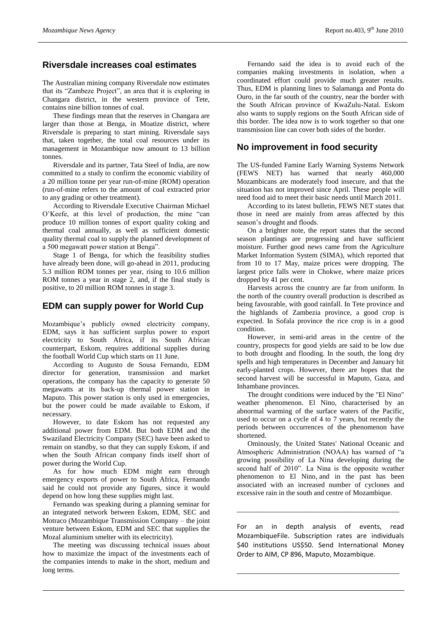#### **Riversdale increases coal estimates**

The Australian mining company Riversdale now estimates that its "Zambeze Project", an area that it is exploring in Changara district, in the western province of Tete, contains nine billion tonnes of coal.

These findings mean that the reserves in Changara are larger than those at Benga, in Moatize district, where Riversdale is preparing to start mining. Riversdale says that, taken together, the total coal resources under its management in Mozambique now amount to 13 billion tonnes.

Riversdale and its partner, Tata Steel of India, are now committed to a study to confirm the economic viability of a 20 million tonne per year run-of-mine (ROM) operation (run-of-mine refers to the amount of coal extracted prior to any grading or other treatment).

According to Riversdale Executive Chairman Michael O"Keefe, at this level of production, the mine "can produce 10 million tonnes of export quality coking and thermal coal annually, as well as sufficient domestic quality thermal coal to supply the planned development of a 500 megawatt power station at Benga".

Stage 1 of Benga, for which the feasibility studies have already been done, will go-ahead in 2011, producing 5.3 million ROM tonnes per year, rising to 10.6 million ROM tonnes a year in stage 2, and, if the final study is positive, to 20 million ROM tonnes in stage 3.

## **EDM can supply power for World Cup**

Mozambique"s publicly owned electricity company, EDM, says it has sufficient surplus power to export electricity to South Africa, if its South African counterpart, Eskom, requires additional supplies during the football World Cup which starts on 11 June.

According to Augusto de Sousa Fernando, EDM director for generation, transmission and market operations, the company has the capacity to generate 50 megawatts at its back-up thermal power station in Maputo. This power station is only used in emergencies, but the power could be made available to Eskom, if necessary.

However, to date Eskom has not requested any additional power from EDM. But both EDM and the Swaziland Electricity Company (SEC) have been asked to remain on standby, so that they can supply Eskom, if and when the South African company finds itself short of power during the World Cup.

As for how much EDM might earn through emergency exports of power to South Africa, Fernando said he could not provide any figures, since it would depend on how long these supplies might last.

Fernando was speaking during a planning seminar for an integrated network between Eskom, EDM, SEC and Motraco (Mozambique Transmission Company – the joint venture between Eskom, EDM and SEC that supplies the Mozal aluminium smelter with its electricity).

The meeting was discussing technical issues about how to maximize the impact of the investments each of the companies intends to make in the short, medium and long terms.

Fernando said the idea is to avoid each of the companies making investments in isolation, when a coordinated effort could provide much greater results. Thus, EDM is planning lines to Salamanga and Ponta do Ouro, in the far south of the country, near the border with the South African province of KwaZulu-Natal. Eskom also wants to supply regions on the South African side of this border. The idea now is to work together so that one transmission line can cover both sides of the border.

#### **No improvement in food security**

The US-funded Famine Early Warning Systems Network (FEWS NET) has warned that nearly 460,000 Mozambicans are moderately food insecure, and that the situation has not improved since April. These people will need food aid to meet their basic needs until March 2011.

According to its latest bulletin, FEWS NET states that those in need are mainly from areas affected by this season"s drought and floods.

On a brighter note, the report states that the second season plantings are progressing and have sufficient moisture. Further good news came from the Agriculture Market Information System (SIMA), which reported that from 10 to 17 May, maize prices were dropping. The largest price falls were in Chokwe, where maize prices dropped by 41 per cent.

Harvests across the country are far from uniform. In the north of the country overall production is described as being favourable, with good rainfall. In Tete province and the highlands of Zambezia province, a good crop is expected. In Sofala province the rice crop is in a good condition.

However, in semi-arid areas in the centre of the country, prospects for good yields are said to be low due to both drought and flooding. In the south, the long dry spells and high temperatures in December and January hit early-planted crops. However, there are hopes that the second harvest will be successful in Maputo, Gaza, and Inhambane provinces.

The drought conditions were induced by the "El Nino" weather phenomenon. El Nino, characterised by an abnormal warming of the surface waters of the Pacific, used to occur on a cycle of 4 to 7 years, but recently the periods between occurrences of the phenomenon have shortened.

Ominously, the United States' National Oceanic and Atmospheric Administration (NOAA) has warned of "a growing possibility of La Nina developing during the second half of 2010". La Nina is the opposite weather phenomenon to El Nino, and in the past has been associated with an increased number of cyclones and excessive rain in the south and centre of Mozambique.

For an in depth analysis of events, read MozambiqueFile. Subscription rates are individuals \$40 institutions US\$50. Send International Money Order to AIM, CP 896, Maputo, Mozambique.

\_\_\_\_\_\_\_\_\_\_\_\_\_\_\_\_\_\_\_\_\_\_\_\_\_\_\_\_\_\_\_\_\_\_\_\_\_\_\_\_\_\_\_\_\_\_\_\_\_\_\_\_\_\_\_\_\_\_\_\_\_\_\_\_\_

\_\_\_\_\_\_\_\_\_\_\_\_\_\_\_\_\_\_\_\_\_\_\_\_\_\_\_\_\_\_\_\_\_\_\_\_\_\_\_\_\_\_\_\_\_\_\_\_\_\_\_\_\_\_\_\_\_\_\_\_\_\_\_\_\_